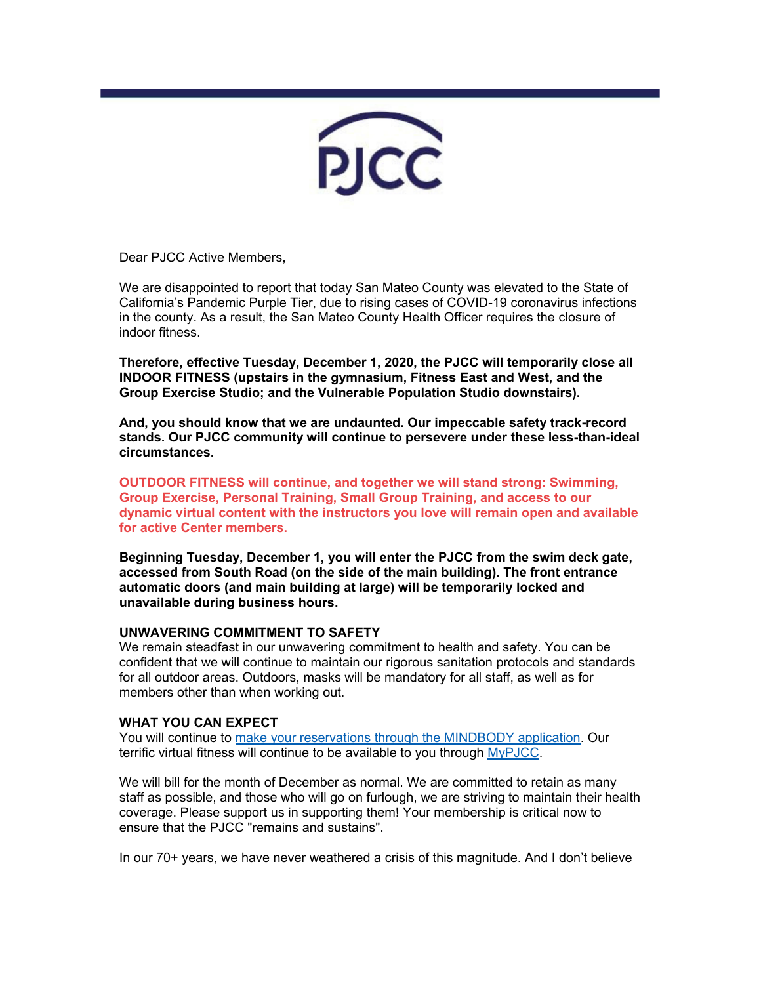

Dear PJCC Active Members,

We are disappointed to report that today San Mateo County was elevated to the State of California's Pandemic Purple Tier, due to rising cases of COVID-19 coronavirus infections in the county. As a result, the San Mateo County Health Officer requires the closure of indoor fitness. 

**Therefore, effective Tuesday, December 1, 2020, the PJCC will temporarily close all INDOOR FITNESS (upstairs in the gymnasium, Fitness East and West, and the Group Exercise Studio; and the Vulnerable Population Studio downstairs).**

**And, you should know that we are undaunted. Our impeccable safety track-record stands. Our PJCC community will continue to persevere under these less-than-ideal circumstances.**

**OUTDOOR FITNESS will continue, and together we will stand strong: Swimming, Group Exercise, Personal Training, Small Group Training, and access to our dynamic virtual content with the instructors you love will remain open and available for active Center members.**

**Beginning Tuesday, December 1, you will enter the PJCC from the swim deck gate, accessed from South Road (on the side of the main building). The front entrance automatic doors (and main building at large) will be temporarily locked and unavailable during business hours.**

## **UNWAVERING COMMITMENT TO SAFETY**

We remain steadfast in our unwavering commitment to health and safety. You can be confident that we will continue to maintain our rigorous sanitation protocols and standards for all outdoor areas. Outdoors, masks will be mandatory for all staff, as well as for members other than when working out.

## **WHAT YOU CAN EXPECT**

You will continue to [make your reservations through the MINDBODY application.](https://pjcc.lt.acemlna.com/Prod/link-tracker?redirectUrl=aHR0cHMlM0ElMkYlMkZjbGllbnRzLm1pbmRib2R5b25saW5lLmNvbSUyRkFTUCUyRnN1MS5hc3AlM0ZzdHVkaW9pZCUzRDQxMjcz&a=66625182&account=pjcc%2Eactivehosted%2Ecom&email=V2yqftU%2BhgJYcBNShchxdw%3D%3D&s=c42fd1951155c949e7ef75aacbebeb55&i=404A820A3A3754) Our terrific virtual fitness will continue to be available to you through [MyPJCC](https://pjcc.lt.acemlna.com/Prod/link-tracker?redirectUrl=aHR0cHMlM0ElMkYlMkZwamNjLmZvcmNlLmNvbSUyRg==&a=66625182&account=pjcc%2Eactivehosted%2Ecom&email=V2yqftU%2BhgJYcBNShchxdw%3D%3D&s=c42fd1951155c949e7ef75aacbebeb55&i=404A820A3A3755).

We will bill for the month of December as normal. We are committed to retain as many staff as possible, and those who will go on furlough, we are striving to maintain their health coverage. Please support us in supporting them! Your membership is critical now to ensure that the PJCC "remains and sustains".

In our 70+ years, we have never weathered a crisis of this magnitude. And I don't believe